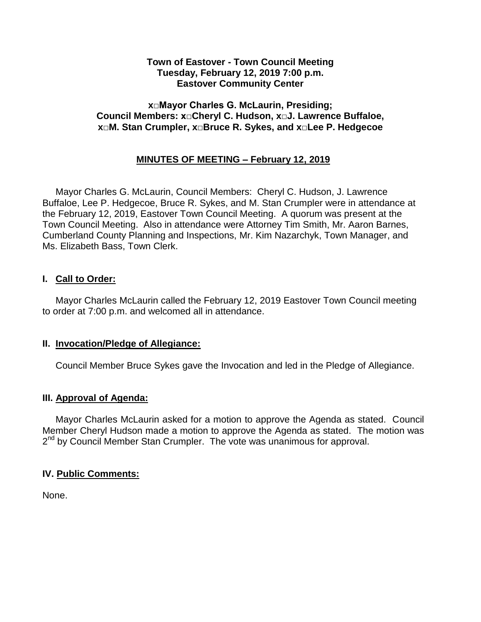### **Town of Eastover - Town Council Meeting Tuesday, February 12, 2019 7:00 p.m. Eastover Community Center**

### **x□Mayor Charles G. McLaurin, Presiding; Council Members: x□Cheryl C. Hudson, x□J. Lawrence Buffaloe, x□M. Stan Crumpler, x□Bruce R. Sykes, and x□Lee P. Hedgecoe**

# **MINUTES OF MEETING – February 12, 2019**

 Mayor Charles G. McLaurin, Council Members: Cheryl C. Hudson, J. Lawrence Buffaloe, Lee P. Hedgecoe, Bruce R. Sykes, and M. Stan Crumpler were in attendance at the February 12, 2019, Eastover Town Council Meeting. A quorum was present at the Town Council Meeting. Also in attendance were Attorney Tim Smith, Mr. Aaron Barnes, Cumberland County Planning and Inspections, Mr. Kim Nazarchyk, Town Manager, and Ms. Elizabeth Bass, Town Clerk.

### **I. Call to Order:**

 Mayor Charles McLaurin called the February 12, 2019 Eastover Town Council meeting to order at 7:00 p.m. and welcomed all in attendance.

### **II. Invocation/Pledge of Allegiance:**

Council Member Bruce Sykes gave the Invocation and led in the Pledge of Allegiance.

### **III. Approval of Agenda:**

 Mayor Charles McLaurin asked for a motion to approve the Agenda as stated. Council Member Cheryl Hudson made a motion to approve the Agenda as stated. The motion was 2<sup>nd</sup> by Council Member Stan Crumpler. The vote was unanimous for approval.

### **IV. Public Comments:**

None.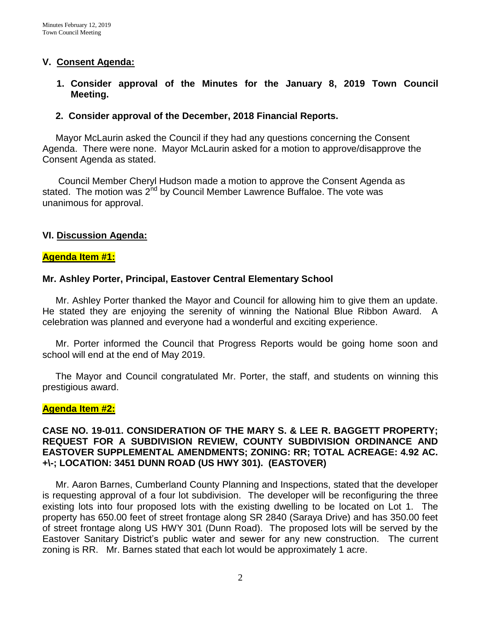### **V. Consent Agenda:**

**1. Consider approval of the Minutes for the January 8, 2019 Town Council Meeting.** 

#### **2. Consider approval of the December, 2018 Financial Reports.**

 Mayor McLaurin asked the Council if they had any questions concerning the Consent Agenda. There were none. Mayor McLaurin asked for a motion to approve/disapprove the Consent Agenda as stated.

 Council Member Cheryl Hudson made a motion to approve the Consent Agenda as stated. The motion was 2<sup>nd</sup> by Council Member Lawrence Buffaloe. The vote was unanimous for approval.

### **VI. Discussion Agenda:**

#### **Agenda Item #1:**

#### **Mr. Ashley Porter, Principal, Eastover Central Elementary School**

 Mr. Ashley Porter thanked the Mayor and Council for allowing him to give them an update. He stated they are enjoying the serenity of winning the National Blue Ribbon Award. A celebration was planned and everyone had a wonderful and exciting experience.

 Mr. Porter informed the Council that Progress Reports would be going home soon and school will end at the end of May 2019.

 The Mayor and Council congratulated Mr. Porter, the staff, and students on winning this prestigious award.

#### **Agenda Item #2:**

### **CASE NO. 19-011. CONSIDERATION OF THE MARY S. & LEE R. BAGGETT PROPERTY; REQUEST FOR A SUBDIVISION REVIEW, COUNTY SUBDIVISION ORDINANCE AND EASTOVER SUPPLEMENTAL AMENDMENTS; ZONING: RR; TOTAL ACREAGE: 4.92 AC. +\-; LOCATION: 3451 DUNN ROAD (US HWY 301). (EASTOVER)**

 Mr. Aaron Barnes, Cumberland County Planning and Inspections, stated that the developer is requesting approval of a four lot subdivision. The developer will be reconfiguring the three existing lots into four proposed lots with the existing dwelling to be located on Lot 1. The property has 650.00 feet of street frontage along SR 2840 (Saraya Drive) and has 350.00 feet of street frontage along US HWY 301 (Dunn Road). The proposed lots will be served by the Eastover Sanitary District's public water and sewer for any new construction. The current zoning is RR. Mr. Barnes stated that each lot would be approximately 1 acre.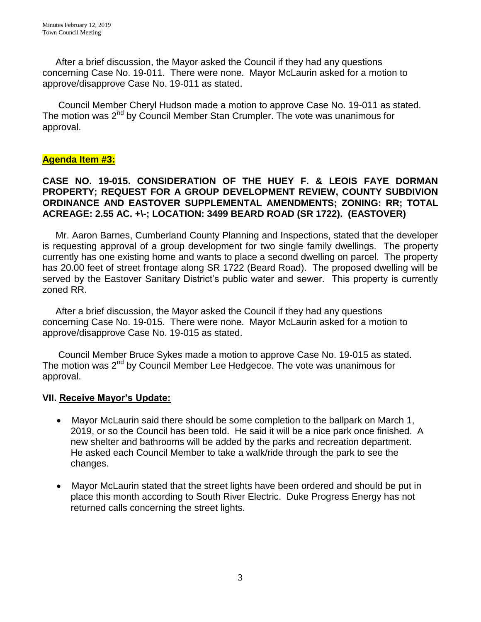After a brief discussion, the Mayor asked the Council if they had any questions concerning Case No. 19-011. There were none. Mayor McLaurin asked for a motion to approve/disapprove Case No. 19-011 as stated.

 Council Member Cheryl Hudson made a motion to approve Case No. 19-011 as stated. The motion was  $2<sup>nd</sup>$  by Council Member Stan Crumpler. The vote was unanimous for approval.

# **Agenda Item #3:**

### **CASE NO. 19-015. CONSIDERATION OF THE HUEY F. & LEOIS FAYE DORMAN PROPERTY; REQUEST FOR A GROUP DEVELOPMENT REVIEW, COUNTY SUBDIVION ORDINANCE AND EASTOVER SUPPLEMENTAL AMENDMENTS; ZONING: RR; TOTAL ACREAGE: 2.55 AC. +\-; LOCATION: 3499 BEARD ROAD (SR 1722). (EASTOVER)**

 Mr. Aaron Barnes, Cumberland County Planning and Inspections, stated that the developer is requesting approval of a group development for two single family dwellings. The property currently has one existing home and wants to place a second dwelling on parcel. The property has 20.00 feet of street frontage along SR 1722 (Beard Road). The proposed dwelling will be served by the Eastover Sanitary District's public water and sewer. This property is currently zoned RR.

 After a brief discussion, the Mayor asked the Council if they had any questions concerning Case No. 19-015. There were none. Mayor McLaurin asked for a motion to approve/disapprove Case No. 19-015 as stated.

 Council Member Bruce Sykes made a motion to approve Case No. 19-015 as stated. The motion was 2<sup>nd</sup> by Council Member Lee Hedgecoe. The vote was unanimous for approval.

### **VII. Receive Mayor's Update:**

- Mayor McLaurin said there should be some completion to the ballpark on March 1, 2019, or so the Council has been told. He said it will be a nice park once finished. A new shelter and bathrooms will be added by the parks and recreation department. He asked each Council Member to take a walk/ride through the park to see the changes.
- Mayor McLaurin stated that the street lights have been ordered and should be put in place this month according to South River Electric. Duke Progress Energy has not returned calls concerning the street lights.